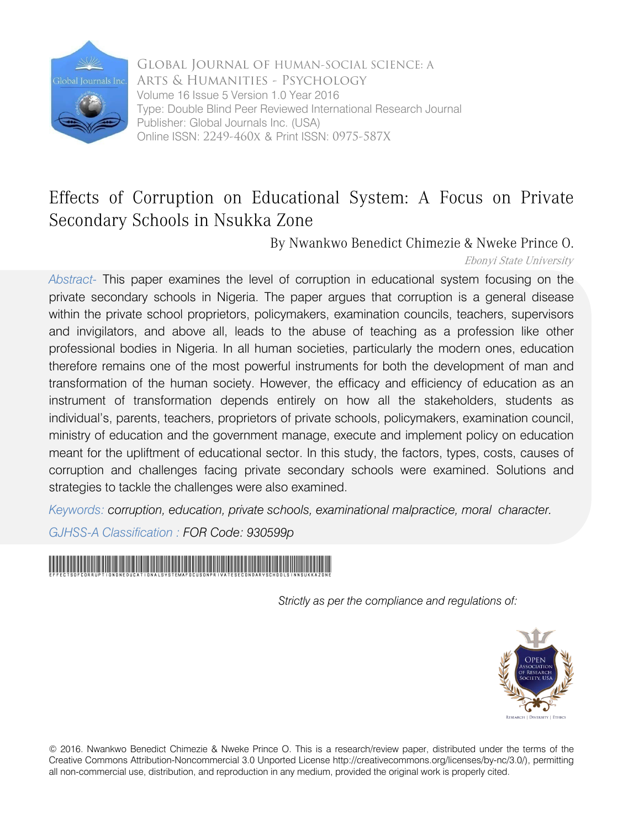

Global Journal of HUMAN-SOCIAL SCIENCE: A Arts & Humanities - Psychology Volume 16 Issue 5 Version 1.0 Year 2016 Type: Double Blind Peer Reviewed International Research Journal Publisher: Global Journals Inc. (USA) Online ISSN: 2249-460x & Print ISSN: 0975-587X

# Effects of Corruption on Educational System: A Focus on Private Secondary Schools in Nsukka Zone

By Nwankwo Benedict Chimezie & Nweke Prince O.

Ebonyi State University

*Abstract-* This paper examines the level of corruption in educational system focusing on the private secondary schools in Nigeria. The paper argues that corruption is a general disease within the private school proprietors, policymakers, examination councils, teachers, supervisors and invigilators, and above all, leads to the abuse of teaching as a profession like other professional bodies in Nigeria. In all human societies, particularly the modern ones, education therefore remains one of the most powerful instruments for both the development of man and transformation of the human society. However, the efficacy and efficiency of education as an instrument of transformation depends entirely on how all the stakeholders, students as individual's, parents, teachers, proprietors of private schools, policymakers, examination council, ministry of education and the government manage, execute and implement policy on education meant for the upliftment of educational sector. In this study, the factors, types, costs, causes of corruption and challenges facing private secondary schools were examined. Solutions and strategies to tackle the challenges were also examined.

*Keywords: corruption, education, private schools, examinational malpractice, moral character.*

*GJHSS-A Classification : FOR Code: 930599p*



*Strictly as per the compliance and regulations of:* 



© 2016. Nwankwo Benedict Chimezie & Nweke Prince O. This is a research/review paper, distributed under the terms of the Creative Commons Attribution-Noncommercial 3.0 Unported License http://creativecommons.org/licenses/by-nc/3.0/), permitting all non-commercial use, distribution, and reproduction in any medium, provided the original work is properly cited.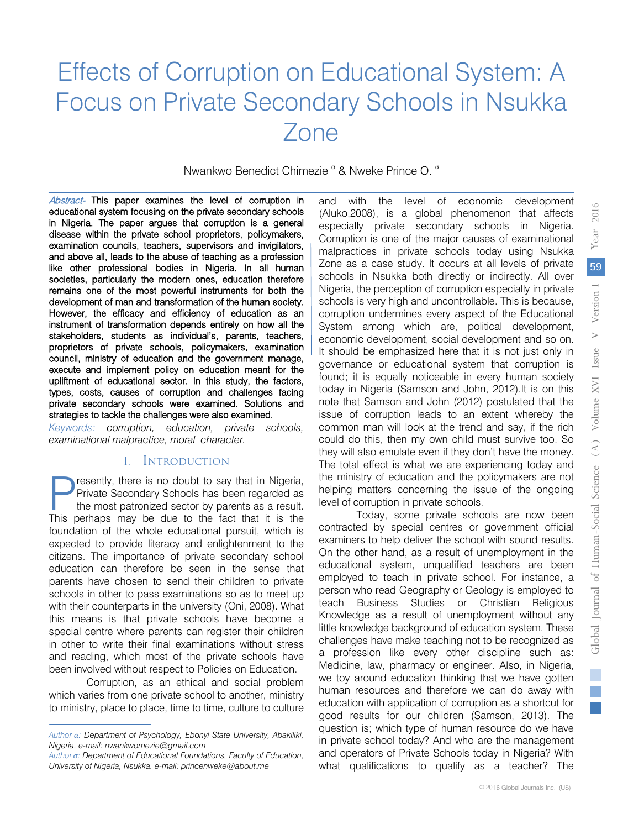# Effects of Corruption on Educational System: A Focus on Private Secondary Schools in Nsukka Zone

Nwankwo Benedict Chimezie <sup>α</sup> & Nweke Prince O. <sup>σ</sup>

 educational system focusing on the private secondary schools examination councils, teachers, supervisors and invigilators, Abstract- This paper examines the level of corruption in and above all, leads to the abuse of teaching as a profession in Nigeria. The paper argues that corruption is a general disease within the private school proprietors, policymakers, like other professional bodies in Nigeria. In all human societies, particularly the modern ones, education therefore remains one of the most powerful instruments for both the development of man and transformation of the human society. However, the efficacy and efficiency of education as an instrument of transformation depends entirely on how all the stakeholders, students as individual's, parents, teachers, proprietors of private schools, policymakers, examination council, ministry of education and the government manage, execute and implement policy on education meant for the upliftment of educational sector. In this study, the factors, types, costs, causes of corruption and challenges facing private secondary schools were examined. Solutions and strategies to tackle the challenges were also examined.

*Keywords: corruption, education, private schools, examinational malpractice, moral character.*

### I. Introduction

resently, there is no doubt to say that in Nigeria, Private Secondary Schools has been regarded as the most patronized sector by parents as a result. **The France of Schools Schools has been regarded as** the most patronized sector by parents as a result.<br>This perhaps may be due to the fact that it is the foundation of the whole educational pursuit, which is expected to provide literacy and enlightenment to the citizens. The importance of private secondary school education can therefore be seen in the sense that parents have chosen to send their children to private schools in other to pass examinations so as to meet up with their counterparts in the university (Oni, 2008). What this means is that private schools have become a special centre where parents can register their children in other to write their final examinations without stress and reading, which most of the private schools have been involved without respect to Policies on Education.

Corruption, as an ethical and social problem which varies from one private school to another, ministry to ministry, place to place, time to time, culture to culture and with the level of economic development (Aluko,2008), is a global phenomenon that affects especially private secondary schools in Nigeria. Corruption is one of the major causes of examinational malpractices in private schools today using Nsukka Zone as a case study. It occurs at all levels of private schools in Nsukka both directly or indirectly. All over Nigeria, the perception of corruption especially in private schools is very high and uncontrollable. This is because, corruption undermines every aspect of the Educational System among which are, political development, economic development, social development and so on. It should be emphasized here that it is not just only in governance or educational system that corruption is found; it is equally noticeable in every human society today in Nigeria (Samson and John, 2012).It is on this note that Samson and John (2012) postulated that the issue of corruption leads to an extent whereby the common man will look at the trend and say, if the rich could do this, then my own child must survive too. So they will also emulate even if they don't have the money. The total effect is what we are experiencing today and the ministry of education and the policymakers are not helping matters concerning the issue of the ongoing level of corruption in private schools.

Today, some private schools are now been contracted by special centres or government official examiners to help deliver the school with sound results. On the other hand, as a result of unemployment in the educational system, unqualified teachers are been employed to teach in private school. For instance, a person who read Geography or Geology is employed to teach Business Studies or Christian Religious Knowledge as a result of unemployment without any little knowledge background of education system. These challenges have make teaching not to be recognized as a profession like every other discipline such as: Medicine, law, pharmacy or engineer. Also, in Nigeria, we toy around education thinking that we have gotten human resources and therefore we can do away with education with application of corruption as a shortcut for good results for our children (Samson, 2013). The question is; which type of human resource do we have in private school today? And who are the management and operators of Private Schools today in Nigeria? With what qualifications to qualify as a teacher? The

*Author α: Department of Psychology, Ebonyi State University, Abakiliki, Nigeria. e-mail: nwankwomezie@gmail.com* 

*Author σ: Department of Educational Foundations, Faculty of Education, University of Nigeria, Nsukka. e-mail: princenweke@about.me*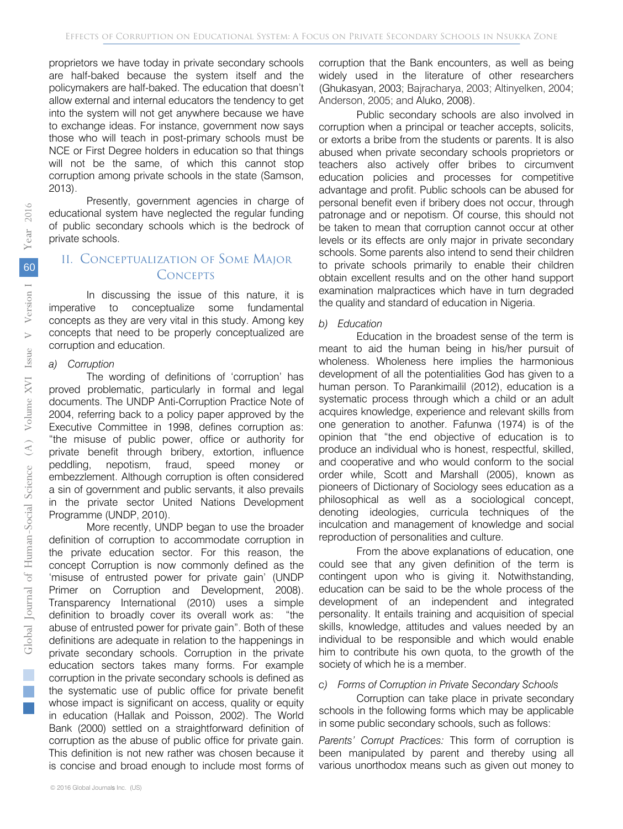proprietors we have today in private secondary schools are half-baked because the system itself and the policymakers are half-baked. The education that doesn't allow external and internal educators the tendency to get into the system will not get anywhere because we have to exchange ideas. For instance, government now says those who will teach in post-primary schools must be NCE or First Degree holders in education so that things will not be the same, of which this cannot stop corruption among private schools in the state (Samson, 2013).

Presently, government agencies in charge of educational system have neglected the regular funding of public secondary schools which is the bedrock of private schools.

# II. Conceptualization of Some Major **CONCEPTS**

In discussing the issue of this nature, it is imperative to conceptualize some fundamental concepts as they are very vital in this study. Among key concepts that need to be properly conceptualized are corruption and education.

#### *a) Corruption*

The wording of definitions of 'corruption' has proved problematic, particularly in formal and legal documents. The UNDP Anti-Corruption Practice Note of 2004, referring back to a policy paper approved by the Executive Committee in 1998, defines corruption as: "the misuse of public power, office or authority for private benefit through bribery, extortion, influence peddling, nepotism, fraud, speed money or embezzlement. Although corruption is often considered a sin of government and public servants, it also prevails in the private sector United Nations Development Programme (UNDP, 2010).

More recently, UNDP began to use the broader definition of corruption to accommodate corruption in the private education sector. For this reason, the concept Corruption is now commonly defined as the 'misuse of entrusted power for private gain' (UNDP Primer on Corruption and Development, 2008). Transparency International (2010) uses a simple definition to broadly cover its overall work as: "the abuse of entrusted power for private gain". Both of these definitions are adequate in relation to the happenings in private secondary schools. Corruption in the private education sectors takes many forms. For example corruption in the private secondary schools is defined as the systematic use of public office for private benefit whose impact is significant on access, quality or equity in education (Hallak and Poisson, 2002). The World Bank (2000) settled on a straightforward definition of corruption as the abuse of public office for private gain. This definition is not new rather was chosen because it is concise and broad enough to include most forms of

corruption that the Bank encounters, as well as being widely used in the literature of other researchers (Ghukasyan, 2003; Bajracharya, 2003; Altinyelken, 2004; Anderson, 2005; and Aluko, 2008).

Public secondary schools are also involved in corruption when a principal or teacher accepts, solicits, or extorts a bribe from the students or parents. It is also abused when private secondary schools proprietors or teachers also actively offer bribes to circumvent education policies and processes for competitive advantage and profit. Public schools can be abused for personal benefit even if bribery does not occur, through patronage and or nepotism. Of course, this should not be taken to mean that corruption cannot occur at other levels or its effects are only major in private secondary schools. Some parents also intend to send their children to private schools primarily to enable their children obtain excellent results and on the other hand support examination malpractices which have in turn degraded the quality and standard of education in Nigeria.

#### *b) Education*

Education in the broadest sense of the term is meant to aid the human being in his/her pursuit of wholeness. Wholeness here implies the harmonious development of all the potentialities God has given to a human person. To Parankimailil (2012), education is a systematic process through which a child or an adult acquires knowledge, experience and relevant skills from one generation to another. Fafunwa (1974) is of the opinion that "the end objective of education is to produce an individual who is honest, respectful, skilled, and cooperative and who would conform to the social order while, Scott and Marshall (2005), known as pioneers of Dictionary of Sociology sees education as a philosophical as well as a sociological concept, denoting ideologies, curricula techniques of the inculcation and management of knowledge and social reproduction of personalities and culture.

From the above explanations of education, one could see that any given definition of the term is contingent upon who is giving it. Notwithstanding, education can be said to be the whole process of the development of an independent and integrated personality. It entails training and acquisition of special skills, knowledge, attitudes and values needed by an individual to be responsible and which would enable him to contribute his own quota, to the growth of the society of which he is a member.

#### *c) Forms of Corruption in Private Secondary Schools*

Corruption can take place in private secondary schools in the following forms which may be applicable in some public secondary schools, such as follows:

*Parents' Corrupt Practices:* This form of corruption is been manipulated by parent and thereby using all various unorthodox means such as given out money to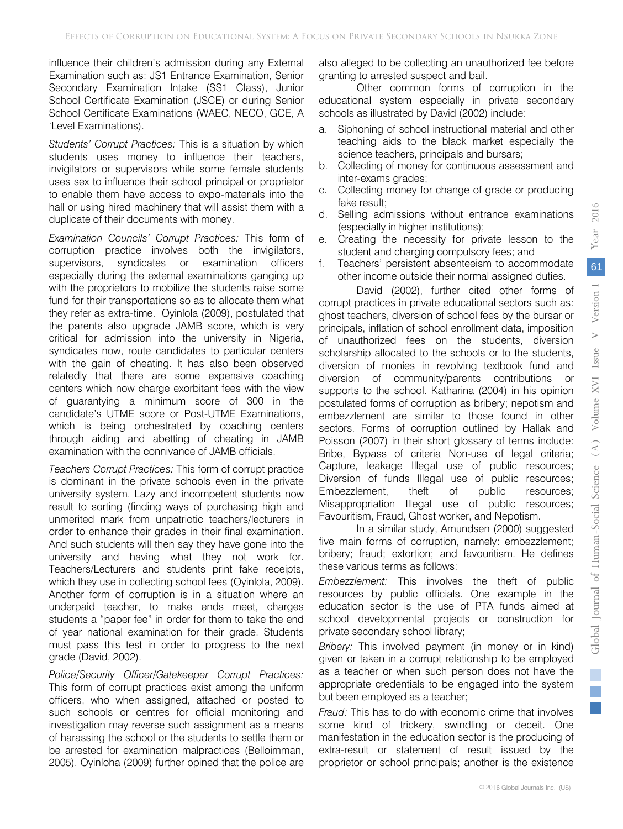influence their children's admission during any External Examination such as: JS1 Entrance Examination, Senior Secondary Examination Intake (SS1 Class), Junior School Certificate Examination (JSCE) or during Senior School Certificate Examinations (WAEC, NECO, GCE, A 'Level Examinations).

*Students' Corrupt Practices:* This is a situation by which students uses money to influence their teachers, invigilators or supervisors while some female students uses sex to influence their school principal or proprietor to enable them have access to expo-materials into the hall or using hired machinery that will assist them with a duplicate of their documents with money.

*Examination Councils' Corrupt Practices:* This form of corruption practice involves both the invigilators, supervisors, syndicates or examination officers especially during the external examinations ganging up with the proprietors to mobilize the students raise some fund for their transportations so as to allocate them what they refer as extra-time. Oyinlola (2009), postulated that the parents also upgrade JAMB score, which is very critical for admission into the university in Nigeria, syndicates now, route candidates to particular centers with the gain of cheating. It has also been observed relatedly that there are some expensive coaching centers which now charge exorbitant fees with the view of guarantying a minimum score of 300 in the candidate's UTME score or Post-UTME Examinations, which is being orchestrated by coaching centers through aiding and abetting of cheating in JAMB examination with the connivance of JAMB officials.

Teachers Corrupt Practices: This form of corrupt practice is dominant in the private schools even in the private university system. Lazy and incompetent students now result to sorting (finding ways of purchasing high and unmerited mark from unpatriotic teachers/lecturers in order to enhance their grades in their final examination. And such students will then say they have gone into the university and having what they not work for. Teachers/Lecturers and students print fake receipts, which they use in collecting school fees (Oyinlola, 2009). Another form of corruption is in a situation where an underpaid teacher, to make ends meet, charges students a "paper fee" in order for them to take the end of year national examination for their grade. Students must pass this test in order to progress to the next grade (David, 2002).

*Police/Security Officer/Gatekeeper Corrupt Practices:*  This form of corrupt practices exist among the uniform officers, who when assigned, attached or posted to such schools or centres for official monitoring and investigation may reverse such assignment as a means of harassing the school or the students to settle them or be arrested for examination malpractices (Belloimman, 2005). Oyinloha (2009) further opined that the police are

also alleged to be collecting an unauthorized fee before granting to arrested suspect and bail.

Other common forms of corruption in the educational system especially in private secondary schools as illustrated by David (2002) include:

- a. Siphoning of school instructional material and other teaching aids to the black market especially the science teachers, principals and bursars;
- b. Collecting of money for continuous assessment and inter-exams grades;
- c. Collecting money for change of grade or producing fake result;
- d. Selling admissions without entrance examinations (especially in higher institutions);
- e. Creating the necessity for private lesson to the student and charging compulsory fees; and
- f. Teachers' persistent absenteeism to accommodate other income outside their normal assigned duties.

David (2002), further cited other forms of corrupt practices in private educational sectors such as: ghost teachers, diversion of school fees by the bursar or principals, inflation of school enrollment data, imposition of unauthorized fees on the students, diversion scholarship allocated to the schools or to the students, diversion of monies in revolving textbook fund and diversion of community/parents contributions or supports to the school. Katharina (2004) in his opinion postulated forms of corruption as bribery; nepotism and embezzlement are similar to those found in other sectors. Forms of corruption outlined by Hallak and Poisson (2007) in their short glossary of terms include: Bribe, Bypass of criteria Non-use of legal criteria; Capture, leakage Illegal use of public resources; Diversion of funds Illegal use of public resources; Embezzlement, theft of public resources; Misappropriation Illegal use of public resources; Favouritism, Fraud, Ghost worker, and Nepotism.

In a similar study, Amundsen (2000) suggested five main forms of corruption, namely: embezzlement; bribery; fraud; extortion; and favouritism. He defines these various terms as follows:

*Embezzlement:* This involves the theft of public resources by public officials. One example in the education sector is the use of PTA funds aimed at school developmental projects or construction for private secondary school library;

*Bribery:* This involved payment (in money or in kind) given or taken in a corrupt relationship to be employed as a teacher or when such person does not have the appropriate credentials to be engaged into the system but been employed as a teacher;

*Fraud:* This has to do with economic crime that involves some kind of trickery, swindling or deceit. One manifestation in the education sector is the producing of extra-result or statement of result issued by the proprietor or school principals; another is the existence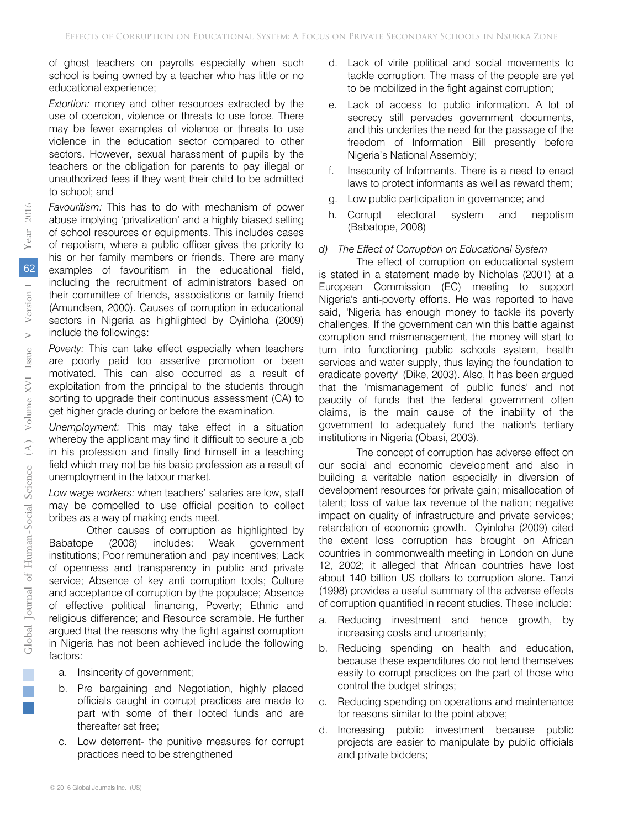of ghost teachers on payrolls especially when such school is being owned by a teacher who has little or no educational experience;

*Extortion:* money and other resources extracted by the use of coercion, violence or threats to use force. There may be fewer examples of violence or threats to use violence in the education sector compared to other sectors. However, sexual harassment of pupils by the teachers or the obligation for parents to pay illegal or unauthorized fees if they want their child to be admitted to school; and

*Favouritism:* This has to do with mechanism of power abuse implying 'privatization' and a highly biased selling of school resources or equipments. This includes cases of nepotism, where a public officer gives the priority to his or her family members or friends. There are many examples of favouritism in the educational field, including the recruitment of administrators based on their committee of friends, associations or family friend (Amundsen, 2000). Causes of corruption in educational sectors in Nigeria as highlighted by Oyinloha (2009) include the followings:

*Poverty:* This can take effect especially when teachers are poorly paid too assertive promotion or been motivated. This can also occurred as a result of exploitation from the principal to the students through sorting to upgrade their continuous assessment (CA) to get higher grade during or before the examination.

*Unemployment:* This may take effect in a situation whereby the applicant may find it difficult to secure a job in his profession and finally find himself in a teaching field which may not be his basic profession as a result of unemployment in the labour market.

*Low wage workers:* when teachers' salaries are low, staff may be compelled to use official position to collect bribes as a way of making ends meet.

Other causes of corruption as highlighted by Babatope (2008) includes: Weak government institutions; Poor remuneration and pay incentives; Lack of openness and transparency in public and private service; Absence of key anti corruption tools; Culture and acceptance of corruption by the populace; Absence of effective political financing, Poverty; Ethnic and religious difference; and Resource scramble. He further argued that the reasons why the fight against corruption in Nigeria has not been achieved include the following factors:

- a. Insincerity of government;
- b. Pre bargaining and Negotiation, highly placed officials caught in corrupt practices are made to part with some of their looted funds and are thereafter set free;
- c. Low deterrent- the punitive measures for corrupt practices need to be strengthened
- d. Lack of virile political and social movements to tackle corruption. The mass of the people are yet to be mobilized in the fight against corruption;
- e. Lack of access to public information. A lot of secrecy still pervades government documents, and this underlies the need for the passage of the freedom of Information Bill presently before Nigeria's National Assembly;
- f. Insecurity of Informants. There is a need to enact laws to protect informants as well as reward them;
- g. Low public participation in governance; and
- h. Corrupt electoral system and nepotism (Babatope, 2008)

#### *d) The Effect of Corruption on Educational System*

The effect of corruption on educational system is stated in a statement made by Nicholas (2001) at a European Commission (EC) meeting to support Nigeria's anti-poverty efforts. He was reported to have said, "Nigeria has enough money to tackle its poverty challenges. If the government can win this battle against corruption and mismanagement, the money will start to turn into functioning public schools system, health services and water supply, thus laying the foundation to eradicate poverty" (Dike, 2003). Also, It has been argued that the 'mismanagement of public funds' and not paucity of funds that the federal government often claims, is the main cause of the inability of the government to adequately fund the nation's tertiary institutions in Nigeria (Obasi, 2003).

The concept of corruption has adverse effect on our social and economic development and also in building a veritable nation especially in diversion of development resources for private gain; misallocation of talent; loss of value tax revenue of the nation; negative impact on quality of infrastructure and private services; retardation of economic growth. Oyinloha (2009) cited the extent loss corruption has brought on African countries in commonwealth meeting in London on June 12, 2002; it alleged that African countries have lost about 140 billion US dollars to corruption alone. Tanzi (1998) provides a useful summary of the adverse effects of corruption quantified in recent studies. These include:

- a. Reducing investment and hence growth, by increasing costs and uncertainty;
- b. Reducing spending on health and education, because these expenditures do not lend themselves easily to corrupt practices on the part of those who control the budget strings;
- c. Reducing spending on operations and maintenance for reasons similar to the point above;
- d. Increasing public investment because public projects are easier to manipulate by public officials and private bidders;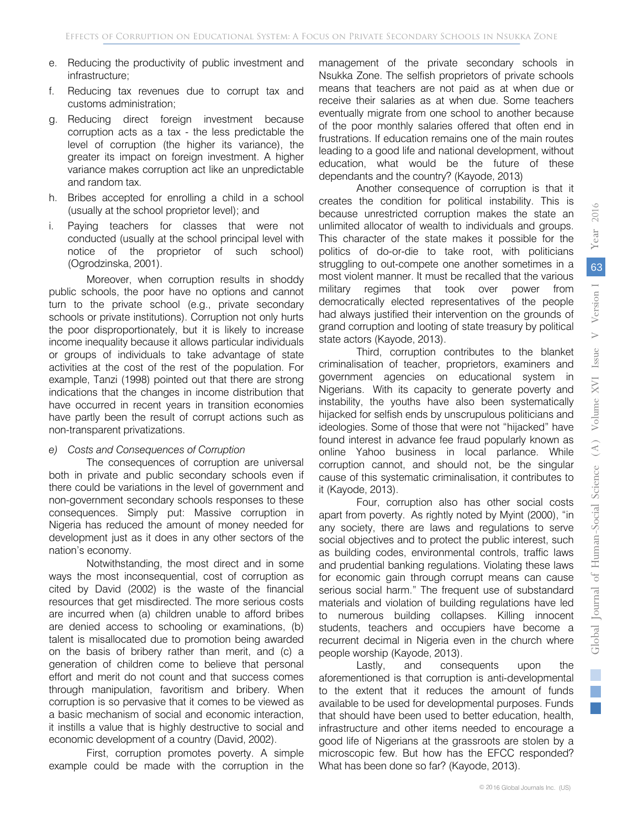- e. Reducing the productivity of public investment and infrastructure;
- f. Reducing tax revenues due to corrupt tax and customs administration;
- g. Reducing direct foreign investment because corruption acts as a tax - the less predictable the level of corruption (the higher its variance), the greater its impact on foreign investment. A higher variance makes corruption act like an unpredictable and random tax.
- h. Bribes accepted for enrolling a child in a school (usually at the school proprietor level); and
- i. Paying teachers for classes that were not conducted (usually at the school principal level with notice of the proprietor of such school) (Ogrodzinska, 2001).

Moreover, when corruption results in shoddy public schools, the poor have no options and cannot turn to the private school (e.g., private secondary schools or private institutions). Corruption not only hurts the poor disproportionately, but it is likely to increase income inequality because it allows particular individuals or groups of individuals to take advantage of state activities at the cost of the rest of the population. For example, Tanzi (1998) pointed out that there are strong indications that the changes in income distribution that have occurred in recent years in transition economies have partly been the result of corrupt actions such as non-transparent privatizations.

#### *e) Costs and Consequences of Corruption*

The consequences of corruption are universal both in private and public secondary schools even if there could be variations in the level of government and non-government secondary schools responses to these consequences. Simply put: Massive corruption in Nigeria has reduced the amount of money needed for development just as it does in any other sectors of the nation's economy.

Notwithstanding, the most direct and in some ways the most inconsequential, cost of corruption as cited by David (2002) is the waste of the financial resources that get misdirected. The more serious costs are incurred when (a) children unable to afford bribes are denied access to schooling or examinations, (b) talent is misallocated due to promotion being awarded on the basis of bribery rather than merit, and (c) a generation of children come to believe that personal effort and merit do not count and that success comes through manipulation, favoritism and bribery. When corruption is so pervasive that it comes to be viewed as a basic mechanism of social and economic interaction, it instills a value that is highly destructive to social and economic development of a country (David, 2002).

First, corruption promotes poverty. A simple example could be made with the corruption in the management of the private secondary schools in Nsukka Zone. The selfish proprietors of private schools means that teachers are not paid as at when due or receive their salaries as at when due. Some teachers eventually migrate from one school to another because of the poor monthly salaries offered that often end in frustrations. If education remains one of the main routes leading to a good life and national development, without education, what would be the future of these dependants and the country? (Kayode, 2013)

Another consequence of corruption is that it creates the condition for political instability. This is because unrestricted corruption makes the state an unlimited allocator of wealth to individuals and groups. This character of the state makes it possible for the politics of do-or-die to take root, with politicians struggling to out-compete one another sometimes in a most violent manner. It must be recalled that the various military regimes that took over power from democratically elected representatives of the people had always justified their intervention on the grounds of grand corruption and looting of state treasury by political state actors (Kayode, 2013).

Third, corruption contributes to the blanket criminalisation of teacher, proprietors, examiners and government agencies on educational system in Nigerians. With its capacity to generate poverty and instability, the youths have also been systematically hijacked for selfish ends by unscrupulous politicians and ideologies. Some of those that were not "hijacked" have found interest in advance fee fraud popularly known as online Yahoo business in local parlance. While corruption cannot, and should not, be the singular cause of this systematic criminalisation, it contributes to it (Kayode, 2013).

Four, corruption also has other social costs apart from poverty. As rightly noted by Myint (2000), "in any society, there are laws and regulations to serve social objectives and to protect the public interest, such as building codes, environmental controls, traffic laws and prudential banking regulations. Violating these laws for economic gain through corrupt means can cause serious social harm." The frequent use of substandard materials and violation of building regulations have led to numerous building collapses. Killing innocent students, teachers and occupiers have become a recurrent decimal in Nigeria even in the church where people worship (Kayode, 2013).

Lastly, and consequents upon the aforementioned is that corruption is anti-developmental to the extent that it reduces the amount of funds available to be used for developmental purposes. Funds that should have been used to better education, health, infrastructure and other items needed to encourage a good life of Nigerians at the grassroots are stolen by a microscopic few. But how has the EFCC responded? What has been done so far? (Kayode, 2013).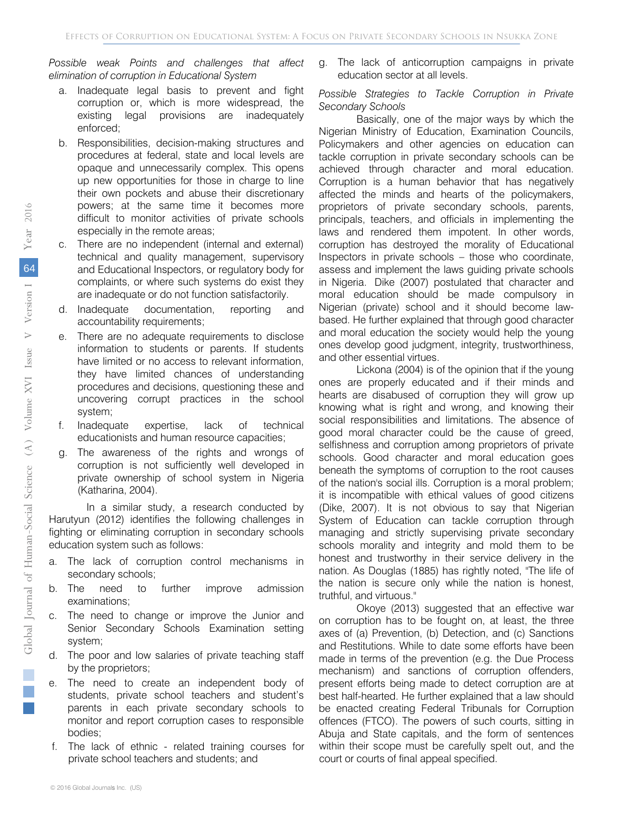*Possible weak Points and challenges that affect elimination of corruption in Educational System* 

- a. Inadequate legal basis to prevent and fight corruption or, which is more widespread, the existing legal provisions are inadequately enforced;
- b. Responsibilities, decision-making structures and procedures at federal, state and local levels are opaque and unnecessarily complex. This opens up new opportunities for those in charge to line their own pockets and abuse their discretionary powers; at the same time it becomes more difficult to monitor activities of private schools especially in the remote areas;
- c. There are no independent (internal and external) technical and quality management, supervisory and Educational Inspectors, or regulatory body for complaints, or where such systems do exist they are inadequate or do not function satisfactorily.
- d. Inadequate documentation, reporting and accountability requirements;
- e. There are no adequate requirements to disclose information to students or parents. If students have limited or no access to relevant information, they have limited chances of understanding procedures and decisions, questioning these and uncovering corrupt practices in the school system;
- f. Inadequate expertise, lack of technical educationists and human resource capacities;
- g. The awareness of the rights and wrongs of corruption is not sufficiently well developed in private ownership of school system in Nigeria (Katharina, 2004).

In a similar study, a research conducted by Harutyun (2012) identifies the following challenges in fighting or eliminating corruption in secondary schools education system such as follows:

- a. The lack of corruption control mechanisms in secondary schools;
- b. The need to further improve admission examinations;
- c. The need to change or improve the Junior and Senior Secondary Schools Examination setting system;
- d. The poor and low salaries of private teaching staff by the proprietors;
- e. The need to create an independent body of students, private school teachers and student's parents in each private secondary schools to monitor and report corruption cases to responsible bodies;
- f. The lack of ethnic related training courses for private school teachers and students; and

g. The lack of anticorruption campaigns in private education sector at all levels.

#### *Possible Strategies to Tackle Corruption in Private Secondary Schools*

Basically, one of the major ways by which the Nigerian Ministry of Education, Examination Councils, Policymakers and other agencies on education can tackle corruption in private secondary schools can be achieved through character and moral education. Corruption is a human behavior that has negatively affected the minds and hearts of the policymakers, proprietors of private secondary schools, parents, principals, teachers, and officials in implementing the laws and rendered them impotent. In other words, corruption has destroyed the morality of Educational Inspectors in private schools – those who coordinate, assess and implement the laws guiding private schools in Nigeria. Dike (2007) postulated that character and moral education should be made compulsory in Nigerian (private) school and it should become lawbased. He further explained that through good character and moral education the society would help the young ones develop good judgment, integrity, trustworthiness, and other essential virtues.

Lickona (2004) is of the opinion that if the young ones are properly educated and if their minds and hearts are disabused of corruption they will grow up knowing what is right and wrong, and knowing their social responsibilities and limitations. The absence of good moral character could be the cause of greed, selfishness and corruption among proprietors of private schools. Good character and moral education goes beneath the symptoms of corruption to the root causes of the nation's social ills. Corruption is a moral problem; it is incompatible with ethical values of good citizens (Dike, 2007). It is not obvious to say that Nigerian System of Education can tackle corruption through managing and strictly supervising private secondary schools morality and integrity and mold them to be honest and trustworthy in their service delivery in the nation. As Douglas (1885) has rightly noted, "The life of the nation is secure only while the nation is honest, truthful, and virtuous."

Okoye (2013) suggested that an effective war on corruption has to be fought on, at least, the three axes of (a) Prevention, (b) Detection, and (c) Sanctions and Restitutions. While to date some efforts have been made in terms of the prevention (e.g. the Due Process mechanism) and sanctions of corruption offenders, present efforts being made to detect corruption are at best half-hearted. He further explained that a law should be enacted creating Federal Tribunals for Corruption offences (FTCO). The powers of such courts, sitting in Abuja and State capitals, and the form of sentences within their scope must be carefully spelt out, and the court or courts of final appeal specified.

i.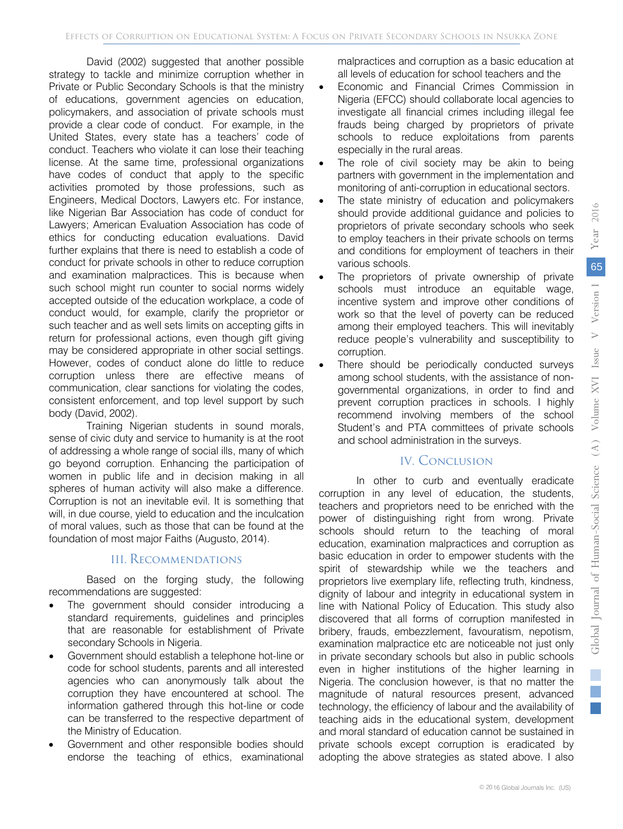David (2002) suggested that another possible strategy to tackle and minimize corruption whether in Private or Public Secondary Schools is that the ministry of educations, government agencies on education, policymakers, and association of private schools must provide a clear code of conduct. For example, in the United States, every state has a teachers' code of conduct. Teachers who violate it can lose their teaching license. At the same time, professional organizations have codes of conduct that apply to the specific activities promoted by those professions, such as Engineers, Medical Doctors, Lawyers etc. For instance, like Nigerian Bar Association has code of conduct for Lawyers; American Evaluation Association has code of ethics for conducting education evaluations. David further explains that there is need to establish a code of conduct for private schools in other to reduce corruption and examination malpractices. This is because when such school might run counter to social norms widely accepted outside of the education workplace, a code of conduct would, for example, clarify the proprietor or such teacher and as well sets limits on accepting gifts in return for professional actions, even though gift giving may be considered appropriate in other social settings. However, codes of conduct alone do little to reduce corruption unless there are effective means of communication, clear sanctions for violating the codes, consistent enforcement, and top level support by such body (David, 2002).

Training Nigerian students in sound morals, sense of civic duty and service to humanity is at the root of addressing a whole range of social ills, many of which go beyond corruption. Enhancing the participation of women in public life and in decision making in all spheres of human activity will also make a difference. Corruption is not an inevitable evil. It is something that will, in due course, yield to education and the inculcation of moral values, such as those that can be found at the foundation of most major Faiths (Augusto, 2014).

#### III. Recommendations

Based on the forging study, the following recommendations are suggested:

- standard requirements, guidelines and principles The government should consider introducing a that are reasonable for establishment of Private secondary Schools in Nigeria.
- Government should establish a telephone hot-line or code for school students, parents and all interested agencies who can anonymously talk about the corruption they have encountered at school. The information gathered through this hot-line or code can be transferred to the respective department of the Ministry of Education.
- Government and other responsible bodies should endorse the teaching of ethics, examinational

malpractices and corruption as a basic education at all levels of education for school teachers and the

- Economic and Financial Crimes Commission in Nigeria (EFCC) should collaborate local agencies to investigate all financial crimes including illegal fee frauds being charged by proprietors of private schools to reduce exploitations from parents especially in the rural areas.
- The role of civil society may be akin to being partners with government in the implementation and monitoring of anti-corruption in educational sectors.
- The state ministry of education and policymakers should provide additional guidance and policies to proprietors of private secondary schools who seek to employ teachers in their private schools on terms and conditions for employment of teachers in their various schools.
- The proprietors of private ownership of private schools must introduce an equitable wage, incentive system and improve other conditions of work so that the level of poverty can be reduced among their employed teachers. This will inevitably reduce people's vulnerability and susceptibility to corruption.
- There should be periodically conducted surveys among school students, with the assistance of nongovernmental organizations, in order to find and prevent corruption practices in schools. I highly recommend involving members of the school Student's and PTA committees of private schools and school administration in the surveys.

# IV. Conclusion

In other to curb and eventually eradicate corruption in any level of education, the students, teachers and proprietors need to be enriched with the power of distinguishing right from wrong. Private schools should return to the teaching of moral education, examination malpractices and corruption as basic education in order to empower students with the spirit of stewardship while we the teachers and proprietors live exemplary life, reflecting truth, kindness, dignity of labour and integrity in educational system in line with National Policy of Education. This study also discovered that all forms of corruption manifested in bribery, frauds, embezzlement, favouratism, nepotism, examination malpractice etc are noticeable not just only in private secondary schools but also in public schools even in higher institutions of the higher learning in Nigeria. The conclusion however, is that no matter the magnitude of natural resources present, advanced technology, the efficiency of labour and the availability of teaching aids in the educational system, development and moral standard of education cannot be sustained in private schools except corruption is eradicated by adopting the above strategies as stated above. I also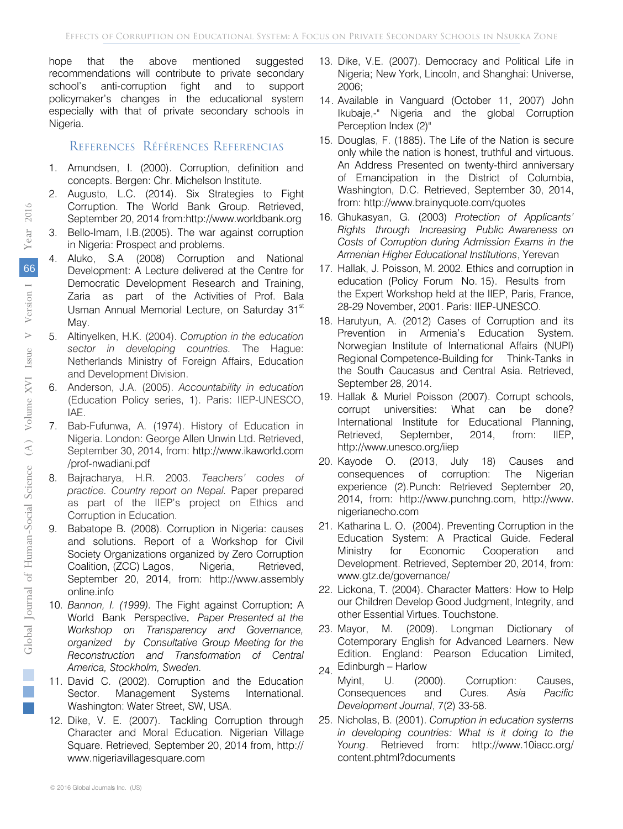hope that the above mentioned suggested recommendations will contribute to private secondary school's anti-corruption fight and to support policymaker's changes in the educational system especially with that of private secondary schools in Nigeria.

# References Références Referencias

- 1. Amundsen, I. (2000). Corruption, definition and concepts. Bergen: Chr. Michelson Institute.
- 2. Augusto, L.C. (2014). Six Strategies to Fight Corruption. The World Bank Group. Retrieved, September 20, 2014 from:http://www.worldbank.org
- 3. Bello-Imam, I.B.(2005). The war against corruption in Nigeria: Prospect and problems.
- 4. Aluko, S.A (2008) Corruption and National Development: A Lecture delivered at the Centre for Democratic Development Research and Training, Zaria as part of the Activities of Prof. Bala Usman Annual Memorial Lecture, on Saturday 31<sup>st</sup> May.
- 5. Altinyelken, H.K. (2004). *Corruption in the education sector in developing countries.* The Hague: Netherlands Ministry of Foreign Affairs, Education and Development Division.
- 6. Anderson, J.A. (2005). *Accountability in education*  (Education Policy series, 1). Paris: IIEP-UNESCO, IAE.
- 7. Bab-Fufunwa, A. (1974). History of Education in Nigeria. London: George Allen Unwin Ltd. Retrieved, September 30, 2014, from: http://www.ikaworld.com /prof-nwadiani.pdf
- 8. Bajracharya, H.R. 2003. *Teachers' codes of practice. Country report on Nepal.* Paper prepared as part of the IIEP's project on Ethics and Corruption in Education.
- Babatope B. (2008). Corruption in Nigeria: causes and solutions. Report of a Workshop for Civil Society Organizations organized by Zero Corruption Coalition, (ZCC) Lagos, Nigeria, Retrieved, September 20, 2014, from: http://www.assembly online.info
- 10. *Bannon, I. (1999).* The Fight against Corruption: A *Workshop on Transparency and Governance,*  World Bank Perspective. *Paper Presented at the organized by Consultative Group Meeting for the Reconstruction and Transformation of Central America, Stockholm, Sweden.*
- 11. David C. (2002). Corruption and the Education Sector. Management Systems International. Washington: Water Street, SW, USA.
- 12. Dike, V. E. (2007). Tackling Corruption through Character and Moral Education. Nigerian Village Square. Retrieved, September 20, 2014 from, http:// www.nigeriavillagesquare.com
- 13. Dike, V.E. (2007). Democracy and Political Life in Nigeria; New York, Lincoln, and Shanghai: Universe, 2006;
- 14. Available in Vanguard (October 11, 2007) John Ikubaje,-" Nigeria and the global Corruption Perception Index (2)"
- 15. Douglas, F. (1885). The Life of the Nation is secure only while the nation is honest, truthful and virtuous. An Address Presented on twenty-third anniversary of Emancipation in the District of Columbia, Washington, D.C. Retrieved, September 30, 2014, from: http://www.brainyquote.com/quotes
- 16. Ghukasyan, G. (2003) *Protection of Applicants' Right[s through Increasing Public Awar](http://www.brainyquote.com/quotes)eness on Costs of Corruption during Admission Exams in the Armenian Higher Educational Institutions*, Yerevan
- 17. Hallak, J. Poisson, M. 2002. Ethics and corruption in education (Policy Forum No. 15). Results from the Expert Workshop held at the IIEP, Paris, France, 28-29 November, 2001. Paris: IIEP-UNESCO.
- 18. Harutyun, A. (2012) Cases of Corruption and its Prevention in Armenia's Education System. Norwegian Institute of International Affairs (NUPI) Regional Competence-Building for Think-Tanks in the South Caucasus and Central Asia. Retrieved, September 28, 2014.
- 19. Hallak & Muriel Poisson (2007). Corrupt schools, corrupt universities: What can be done? International Institute for Educational Planning, Retrieved, September, 2014, from: IIEP, http://www.unesco.org/iiep
- 20. Kayo[de O. \(2013, Ju](http://www.unesco.org/iiep)ly 18) Causes and consequences of corruption: The Nigerian experience (2).Punch: Retrieved September 20, 2014, from: http://www.punchng.com, http://www. nigerianecho[.com](http://www.punchng.com/)
- 21. Katharina L. O. (2004). Preventing Corruption in the Education System: A Practical Guide. Federal Ministry for Economic Cooperation and Development. Retrieved, September 20, 2014, from: www.gtz.de/governance/
- 22. [Lickona, T. \(2004\). Chara](http://www.gtz.de/governance/)cter Matters: How to Help our Children Develop Good Judgment, Integrity, and other Essential Virtues. Touchstone.
- 23. Mayor, M. (2009). Longman Dictionary of Cotemporary English for Advanced Learners. New Edition. England: Pearson Education Limited,
- 24. Edinburgh Harlow Myint, U. (2000). Corruption: Causes, Consequences and Cures. *Asia Pacific Development Journal*, 7(2) 33-58.
- 25. Nicholas, B. (2001). *Corruption in education systems in developing countries: What is it doing to the Young*. Retrieved from: <http://www.10iacc.org/> content.phtml?documents

i. h.